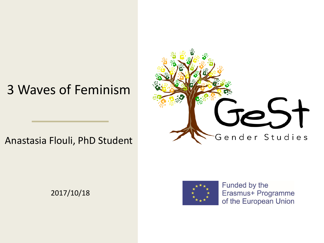#### 3 Waves of Feminism

#### Anastasia Flouli, PhD Student

2017/10/18





Funded by the Erasmus+ Programme of the European Union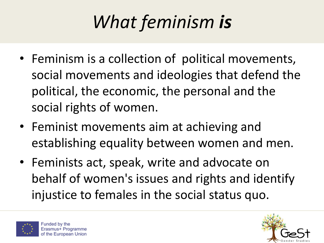## *What feminism is*

- Feminism is a collection of political movements, social movements and ideologies that defend the political, the economic, the personal and the social rights of women.
- Feminist movements aim at achieving and establishing equality between women and men.
- Feminists act, speak, write and advocate on behalf of women's issues and rights and identify injustice to females in the social status quo.



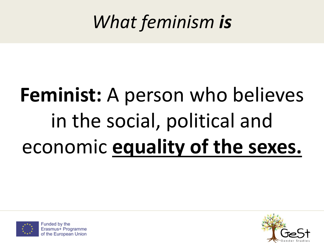#### *What feminism is*

# **Feminist:** A person who believes in the social, political and economic **equality of the sexes.**



Funded by the Erasmus+ Programme of the European Union

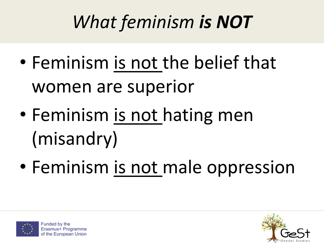### *What feminism is NOT*

- Feminism is not the belief that women are superior
- Feminism is not hating men (misandry)
- Feminism is not male oppression



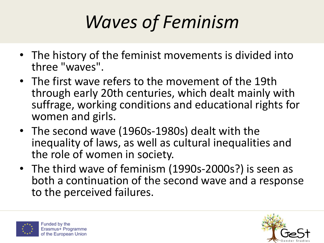### *Waves of Feminism*

- The history of the feminist movements is divided into three "waves".
- The first wave refers to the movement of the 19th through early 20th centuries, which dealt mainly with suffrage, working conditions and educational rights for women and girls.
- The second wave (1960s-1980s) dealt with the inequality of laws, as well as cultural inequalities and the role of women in society.
- The third wave of feminism (1990s-2000s?) is seen as both a continuation of the second wave and a response to the perceived failures.



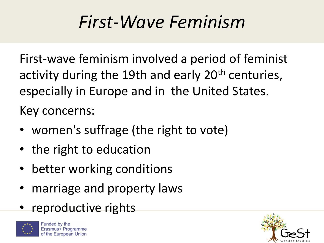#### *First-Wave Feminism*

First-wave feminism involved a period of feminist activity during the 19th and early 20<sup>th</sup> centuries, especially in Europe and in the United States.

Key concerns:

- women's suffrage (the right to vote)
- the right to education
- better working conditions
- marriage and property laws
- reproductive rights



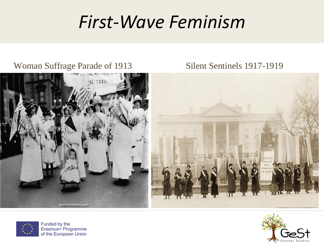#### *First-Wave Feminism*

#### Woman Suffrage Parade of 1913 Silent Sentinels 1917-1919







Funded by the Erasmus+ Programme of the European Union

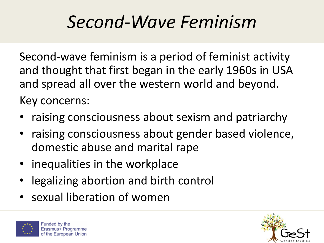#### *Second-Wave Feminism*

Second-wave feminism is a period of feminist activity and thought that first began in the early 1960s in USA and spread all over the western world and beyond. Key concerns:

- raising consciousness about sexism and patriarchy
- raising consciousness about gender based violence, domestic abuse and marital rape
- inequalities in the workplace
- legalizing abortion and birth control
- sexual liberation of women



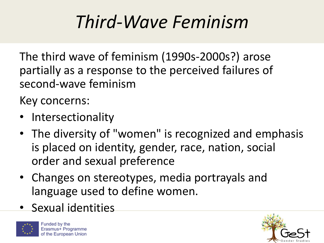#### *Third-Wave Feminism*

The third wave of feminism (1990s-2000s?) arose partially as a response to the perceived failures of second-wave feminism

Key concerns:

- Intersectionality
- The diversity of "women" is recognized and emphasis is placed on identity, gender, race, nation, social order and sexual preference
- Changes on stereotypes, media portrayals and language used to define women.
- Sexual identities



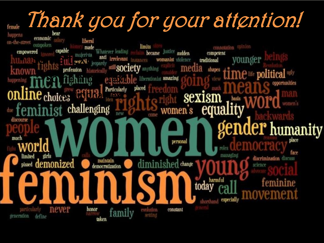## Thank you for your attention!

temale